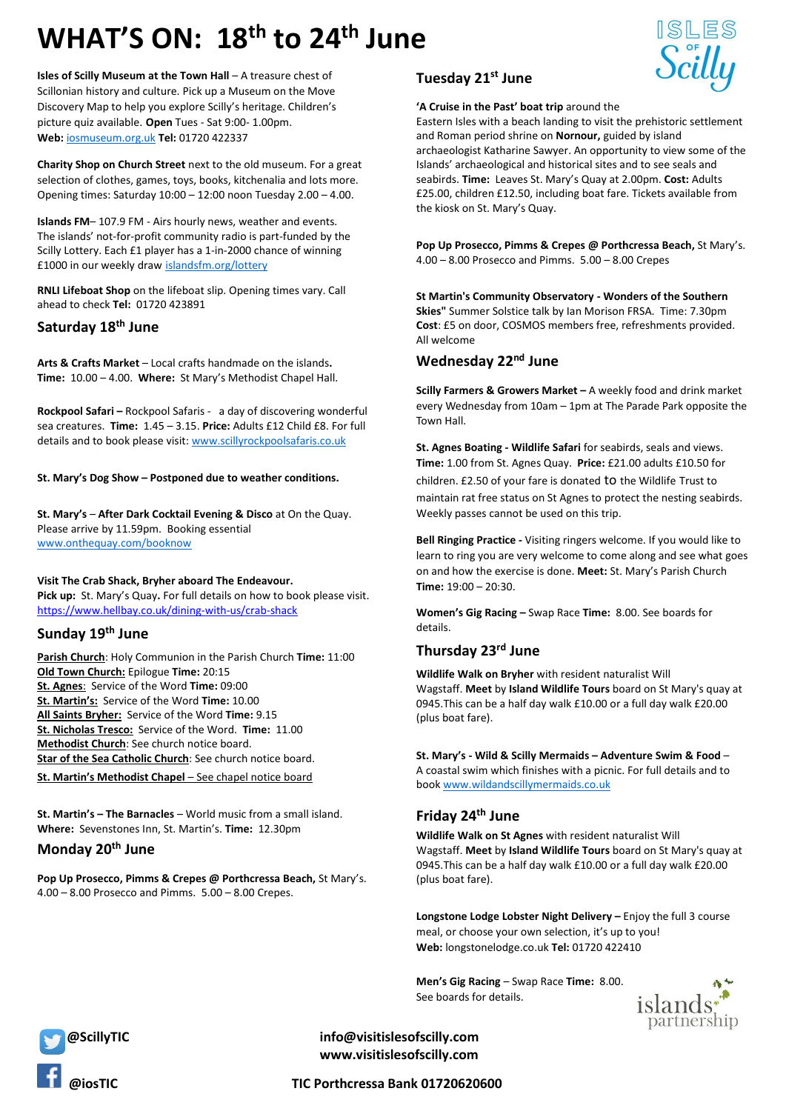# **WHAT'S ON: 18 th to 24th June**

**Isles of Scilly Museum at the Town Hall** – A treasure chest of Scillonian history and culture. Pick up a Museum on the Move Discovery Map to help you explore Scilly's heritage. Children's picture quiz available. **Open** Tues - Sat 9:00- 1.00pm. **Web:** [iosmuseum.org.uk](http://www.iosmuseum.org.uk/) **Tel:** 01720 422337

**Charity Shop on Church Street** next to the old museum. For a great selection of clothes, games, toys, books, kitchenalia and lots more. Opening times: Saturday 10:00 – 12:00 noon Tuesday 2.00 – 4.00.

**Islands FM**– 107.9 FM - Airs hourly news, weather and events. The islands' not-for-profit community radio is part-funded by the Scilly Lottery. Each £1 player has a 1-in-2000 chance of winning £1000 in our weekly draw [islandsfm.org/lottery](http://www.islandsfm.org/lottery)

**RNLI Lifeboat Shop** on the lifeboat slip. Opening times vary. Call ahead to check **Tel:** 01720 423891

## **Saturday 18 th June**

**Arts & Crafts Market** – Local crafts handmade on the islands**. Time:** 10.00 – 4.00. **Where:** St Mary's Methodist Chapel Hall.

**Rockpool Safari –** Rockpool Safaris - a day of discovering wonderful sea creatures. **Time:** 1.45 – 3.15. **Price:** Adults £12 Child £8. For full details and to book please visit[: www.scillyrockpoolsafaris.co.uk](http://www.scillyrockpoolsafaris.co.uk/)

**St. Mary's Dog Show – Postponed due to weather conditions.**

**St. Mary's** – **After Dark Cocktail Evening & Disco** at On the Quay. Please arrive by 11.59pm. Booking essential [www.onthequay.com/booknow](http://www.onthequay.com/booknow)

**Visit The Crab Shack, Bryher aboard The Endeavour. Pick up:** St. Mary's Quay**.** For full details on how to book please visit. [https://www.hellbay.co.uk/dining-with-us/crab-shack](https://l.facebook.com/l.php?u=https%3A%2F%2Fwww.hellbay.co.uk%2Fdining-with-us%2Fcrab-shack%3Ffbclid%3DIwAR2QqC4MHJGzGcJ6G3mD11SkZX1yCrXzqJwWciDEYklFcVJy7HJIl6mcZSc&h=AT2LBXt7bk2QHzy8rFjh-dsQ2j-n_YO-0OXP_-SGAwtEmstORuo1r5Mo8VWkaZp2i41DWet5-sWQQEdlqfURKRhtmzey7VULyOZkfeAP0WKD2-FdT9wTbNi3yxJ5L7p4SLkF&__tn__=-UK-y-R&c%5b0%5d=AT0wPMAH0ivOl-CoXHInjO6WlGZda1ooFBWHxt86os5tzyUcpVPU4OUV669Mpe09Ah61cePZamHXihX8ar7PMQlNlagcREAtQYcFQGuJt6aiv2eAQBJC8ZaNjtAcXwwcUvLgBps-mN3CI3Z-vBqBhtv-dPDabW4d4f5nqwind-Qe1sSEeViF79OsOtoIt3yRXE2Ijw)

## **Sunday 19 th June**

**Parish Church**: Holy Communion in the Parish Church **Time:** 11:00 **Old Town Church:** Epilogue **Time:** 20:15 **St. Agnes**: Service of the Word **Time:** 09:00 **St. Martin's:** Service of the Word **Time:** 10.00 **All Saints Bryher:** Service of the Word **Time:** 9.15 **St. Nicholas Tresco:** Service of the Word. **Time:** 11.00 **Methodist Church**: See church notice board. **Star of the Sea Catholic Church**: See church notice board.

**St. Martin's Methodist Chapel** – See chapel notice board

**St. Martin's – The Barnacles** – World music from a small island. **Where:** Sevenstones Inn, St. Martin's. **Time:** 12.30pm

## **Monday 20th June**

**Pop Up Prosecco, Pimms & Crepes @ Porthcressa Beach,** St Mary's. 4.00 – 8.00 Prosecco and Pimms. 5.00 – 8.00 Crepes.

### **Tuesday 21st June**

#### **'A Cruise in the Past' boat trip** around the

Eastern Isles with a beach landing to visit the prehistoric settlement and Roman period shrine on **Nornour,** guided by island archaeologist Katharine Sawyer. An opportunity to view some of the Islands' archaeological and historical sites and to see seals and seabirds. **Time:** Leaves St. Mary's Quay at 2.00pm. **Cost:** Adults £25.00, children £12.50, including boat fare. Tickets available from the kiosk on St. Mary's Quay.

**Pop Up Prosecco, Pimms & Crepes @ Porthcressa Beach,** St Mary's. 4.00 – 8.00 Prosecco and Pimms. 5.00 – 8.00 Crepes

**St Martin's Community Observatory - Wonders of the Southern Skies"** Summer Solstice talk by Ian Morison FRSA. Time: 7.30pm **Cost**: £5 on door, COSMOS members free, refreshments provided. All welcome

## **Wednesday 22nd June**

**Scilly Farmers & Growers Market –** A weekly food and drink market every Wednesday from 10am – 1pm at The Parade Park opposite the Town Hall.

**St. Agnes Boating - Wildlife Safari** for seabirds, seals and views. **Time:** 1.00 from St. Agnes Quay. **Price:** £21.00 adults £10.50 for children. £2.50 of your fare is donated to the Wildlife Trust to maintain rat free status on St Agnes to protect the nesting seabirds. Weekly passes cannot be used on this trip.

**Bell Ringing Practice -** Visiting ringers welcome. If you would like to learn to ring you are very welcome to come along and see what goes on and how the exercise is done. **Meet:** St. Mary's Parish Church  $Time: 19:00 - 20:30$ 

**Women's Gig Racing –** Swap Race **Time:** 8.00. See boards for details.

### **Thursday 23rd June**

**Wildlife Walk on Bryher** with resident naturalist Will Wagstaff. **Meet** by **Island Wildlife Tours** board on St Mary's quay at 0945.This can be a half day walk £10.00 or a full day walk £20.00 (plus boat fare).

**St. Mary's - Wild & Scilly Mermaids – Adventure Swim & Food** – A coastal swim which finishes with a picnic. For full details and to book [www.wildandscillymermaids.co.uk](http://www.wildandscillymermaids.co.uk/)

## **Friday 24th June**

**Wildlife Walk on St Agnes** with resident naturalist Will Wagstaff. **Meet** by **Island Wildlife Tours** board on St Mary's quay at 0945.This can be a half day walk £10.00 or a full day walk £20.00 (plus boat fare).

**Longstone Lodge Lobster Night Delivery –** Enjoy the full 3 course meal, or choose your own selection, it's up to you! **Web:** longstonelodge.co.uk **Tel:** 01720 422410

**Men's Gig Racing** – Swap Race **Time:** 8.00. See boards for details.





 **@ScillyTIC info@visitislesofscilly.com www.visitislesofscilly.com**

 **@iosTIC TIC Porthcressa Bank 01720620600**